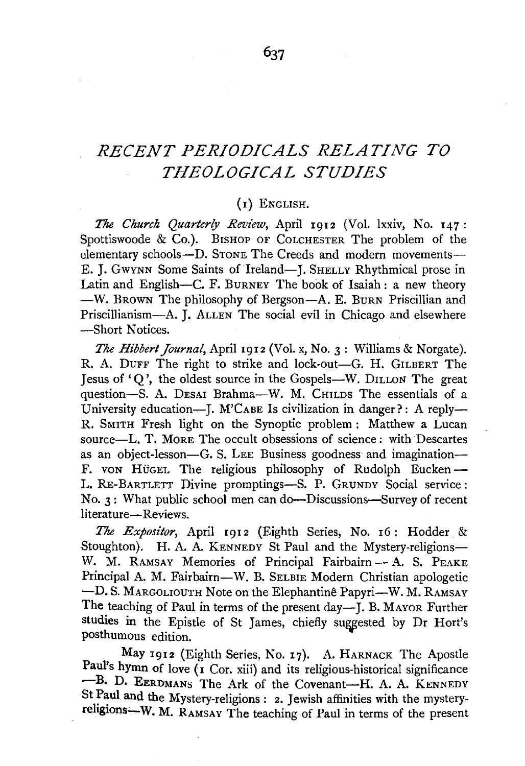# *RECENT PERIODICALS RELATING TO THEOLOGICAL STUDIES*

## (I) ENGLISH.

*The Church Quarterly Review,* April 1912 (Vol. lxxiv, No. 147 : Spottiswoode & Co.). BISHOP OF CoLCHESTER The problem of the elementary schools-D. STONE The Creeds and modern movements-E. J. Gwynn Some Saints of Ireland-J. SHELLY Rhythmical prose in Latin and English-C. F. BURNEY The book of Isaiah: a new theory -W. BROWN The philosophy of Bergson-A. E. BuRN Priscillian and Priscillianism-A. J. ALLEN The social evil in Chicago and elsewhere -Short Notices.

*The Hibbert Journal,* April 1912 (Vol. x, No. 3 : Williams & Norgate). R. A. DUFF The right to strike and lock-out-G. H. GILBERT The Jesus of' Q ', the oldest source in the Gospels-W. DILLON The great question-S. A. DESAI Brahma-W. M. CHILDS The essentials of a University education---- J. M'CABE Is civilization in danger?: A reply---R. SMITH Fresh light on the Synoptic problem : Matthew a Lucan source-L. T. More The occult obsessions of science: with Descartes as an object-lesson-G. S. LEE Business goodness and imagination-F. von HüGEL The religious philosophy of Rudolph Eucken-L. RE-BARTLETT Divine promptings-S. P. GRUNDY Social service: No. 3: What public school men can do-Discussions-Survey of recent literature-Reviews.

*The Expositor,* April r9r2 (Eighth Series, No. r6: Hodder & Stoughton). H. A. A. KENNEDY St Paul and the Mystery-religions-W. M. RAMSAY Memories of Principal Fairbairn - A. S. PEAKE Principal A. M. Fairbairn-W. B. SELBIE Modern Christian apologetic -D. S. MARGOLIOUTH Note on the Elephantinê Papyri-W. M. RAMSAY The teaching of Paul in terms of the present day-J. B. MAYOR Further studies in the Epistle of St James, chiefly suggested by Dr Hort's posthumous edition.

May 1912 (Eighth Series, No. 17). A. HARNACK The Apostle Paul's hymn of love  $(i$  Cor. xiii) and its religious-historical significance -B. D. EERDMANS The Ark of the Covenant-H. A. A. KENNEDY St Paul and the Mystery-religions: 2. Jewish affinities with the mysteryreligions-W. M. RAMSAY The teaching of Paul in terms of the present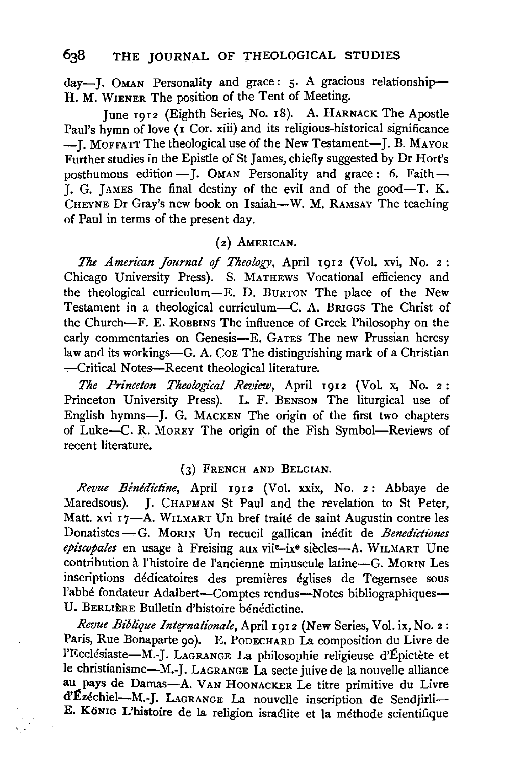day-J. OMAN Personality and grace: 5. A gracious relationship-H. M. WIENER The position of the Tent of Meeting.

June 1912 (Eighth Series, No. 18). A. HARNACK The Apostle Paul's hymn of love  $(I$  Cor. xiii) and its religious-historical significance -I. MOFFATT The theological use of the New Testament-I. B. MAYOR Further studies in the Epistle of St James, chiefly suggested by Dr Hort's posthumous edition-J. OMAN Personality and grace: 6. Faith-I. G. JAMES The final destiny of the evil and of the good-T. K. CHEYNE Dr Gray's new book on Isaiah-W. M. RAMSAY The teaching of Paul in terms of the present day.

#### (z) AMERICAN.

*The American Journal* if *Theology,* April 1912 (Vol. xvi, No. 2 : Chicago University Press). S. MATHEWS Vocational efficiency and the theological curriculum-E. D. BuRTON The place of the New Testament in a theological curriculum-C. A. BRIGGS The Christ of the Church-F. E. ROBBINS The influence of Greek Philosophy on the early commentaries on Genesis-E. GATES The new Prussian heresy law and its workings-G. A. Coe The distinguishing mark of a Christian --Critical Notes-Recent theological literature.

*The Princeton Theological Review,* April 1912 (Vol. x, No. 2: Princeton University Press). L. F. BENSON The liturgical use of English hymns-J. G. MACKEN The origin of the first two chapters of Luke-C. R. MoREY The origin of the Fish Symbol-Reviews of recent literature.

#### (3) FRENCH AND BELGIAN.

*Revue Benedictine,* April 1912 (Vol. xxix, No. z: Abbaye de Maredsous). J. CHAPMAN St Paul and the revelation to St Peter, Matt. xvi 17-A. WILMART Un bref traité de saint Augustin contre les Donatistes-G. MORIN Un recueil gallican inédit de *Benedictiones episcopates* en usage a Freising aux viie-ixe siecles-A. WILMART Une contribution à l'histoire de l'ancienne minuscule latine-G. MORIN Les inscriptions dédicatoires des premières églises de Tegernsee sous l'abbé fondateur Adalbert-Comptes rendus-Notes bibliographiques-U. BERLIÈRE Bulletin d'histoire bénédictine.

*Revue Biblique Internationale, April 1912 (New Series, Vol. ix, No. 2:* Paris, Rue Bonaparte 90). E. PODECHARD La composition du Livre de l'Ecclésiaste-M.-J. LAGRANGE La philosophie religieuse d'Épictète et le christianisme-M.-J. LA GRANGE La secte juive de la nouvelle alliance au pays de Damas-A. VAN HooNACKER Le titre primitive du Livre d'Ezechiel-M.-J. LAGRANGE La nouvelle inscription de Sendjirli-E. KoNIG L'histoire de la religion israelite et la methode scientifique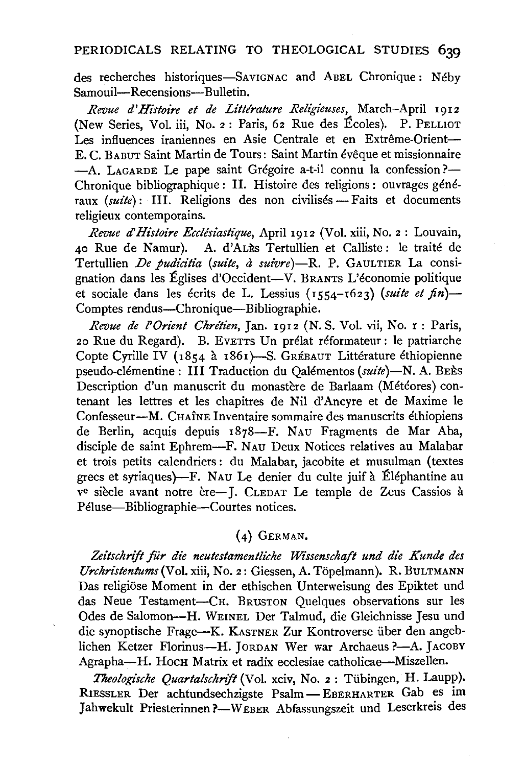### PERIODICALS RELATING TO THEOLOGICAL STUDIES 639

des recherches historiques-SAviGNAC and AnEL Chronique: Neby Samouil---Recensions---Bulletin.

*Revue d'Histoire et de Littérature Religieuses, March-April 1912* (New Series, Vol. iii, No. 2: Paris, 62 Rue des Ecoles). P. PELLIOT Les influences iraniennes en Asie Centrale et en Extrême-Orient-E. c. BA BUT Saint Martin de Tours: Saint Martin eveque et missionnaire -A. LAGARDE Le pape saint Grégoire a-t-il connu la confession?-Chronique bibliographique : II. Histoire des religions : ouvrages généraux *(suite)*: III. Religions des non civilisés - Faits et documents religieux contemporains.

*Revue d'Histoire Ecclésiastique*, April 1912 (Vol. xiii, No. 2 : Louvain, 40 Rue de Namur). A. d'ALES Tertullien et Calliste: le traité de Tertullien *De pudicitia (suite, à suivre*)-R. P. GAULTIER La consignation dans les Eglises d'Occident-V. BRANTS L'economie politique et sociale dans les écrits de L. Lessius (1554-1623) (suite et fin)-Comptes rendus-Chronique-Bibliographie.

*Revue de l'Orient Chrétien*, Jan. 1912 (N. S. Vol. vii, No. 1: Paris, 20 Rue du Regard). B. EvETTS Un prelat reformateur: le patriarche Copte Cyrille IV (1854 à 1861)-S. GRÉBAUT Littérature éthiopienne pseudo-clémentine: III Traduction du Qalémentos (suite)-N. A. BEES Description d'un manuscrit du monastère de Barlaam (Météores) contenant les lettres et les chapitres de Nil d' Ancyre et de Maxime le Confesseur-M. CHAINE Inventaire sommaire des manuscrits ethiopiens de Berlin, acquis depuis 1878-F. NAu Fragments de Mar Aba, disciple de saint Ephrem-F. NAu Deux Notices relatives au Malabar et trois petits calendriers: du Malabar, jacobite et musulman (textes grecs et syriaques)-F. NAU Le denier du culte juif a Elephantine au ve siècle avant notre ère-J. CLEDAT Le temple de Zeus Cassios à Péluse-Bibliographie-Courtes notices.

#### (4) GERMAN.

Zeitschrift für die neutestamentliche Wissenschaft und die Kunde des *Urchristentums(Vol.* xiii, No. 2: Giessen, A. Topelmann). R. BuLTMANN Das religiose Moment in der ethischen Unterweisung des Epiktet und das Neue Testament-CR. BRUSTON Quelques observations sur les Odes de Salomon-H. WEINEL Der Talmud, die Gleichnisse Jesu und die synoptische Frage-K. KASTNER Zur Kontroverse iiber den angeblichen Ketzer Florinus-H. JORDAN Wer war Archaeus ?- A. JACOBY Agrapha-H. Носн Matrix et radix ecclesiae catholicae-Miszellen.

Theologische Quartalschrift (Vol. xciv, No. 2 : Tübingen, H. Laupp). RIESSLER Der achtundsechzigste Psalm- EBERHARTER Gab es im Jahwekult Priesterinnen ?- WEBER Abfassungszeit und Leserkreis des